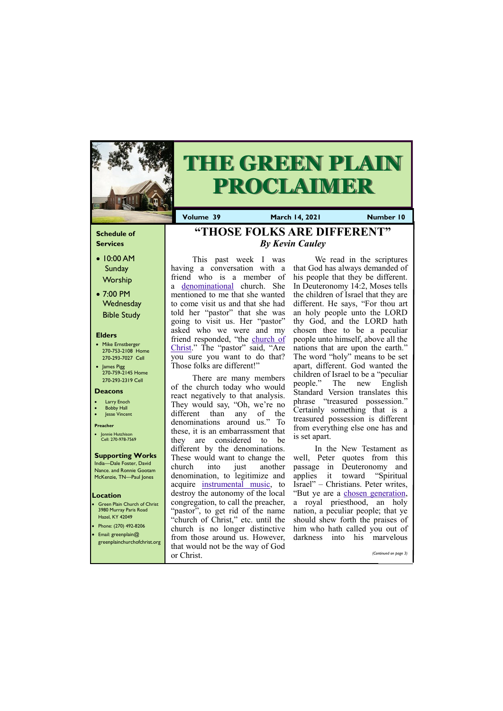### **Schedule of Services**

- 10:00 AM **Sunday Worship**
- 7:00 PM **Wednesday** Bible Study

#### **Elders**

- Mike Ernstberger 270-753-2108 Home 270-293-7027 Cell
- James Pigg 270-759-2145 Home 270-293-2319 Cell

- **Green Plain Church of Christ** 3980 Murray Paris Road Hazel, KY 42049 • Phone: (270) 492-8206
- Email: greenplain@

#### **Location**



# **THE GREEN PLAIN PROCLAIMER**

**Volume 39 March 14, 2021 Number 10**

#### **Deacons**

- **Larry Enoch**
- **Bobby Hall**
- **Jesse Vincent**

#### **Preacher**

• Jonnie Hutchison Cell: 270-978-7569

#### **Supporting Works** India—Dale Foster, David

Nance. and Ronnie Gootam McKenzie, TN—Paul Jones

This past week I was having a conversation with a friend who is a member of a [denominational](https://gewatkins.net/dangers-of-denominationalism/) church. She mentioned to me that she wanted to come visit us and that she had told her "pastor" that she was going to visit us. Her "pastor" asked who we were and my friend responded, "the [church of](https://gewatkins.net/the-church-of-christ-approved-by-god/)  [Christ](https://gewatkins.net/the-church-of-christ-approved-by-god/)." The "pastor" said, "Are you sure you want to do that? Those folks are different!"

> In the New Testament as well, Peter quotes from this passage in Deuteronomy and applies it toward "Spiritual Israel" – Christians. Peter writes, "But ye are a [chosen generation,](https://gewatkins.net/attitudes-of-the-chosen-generation/) a royal priesthood, an holy nation, a peculiar people; that ye should shew forth the praises of him who hath called you out of darknesse into his

There are many members of the church today who would react negatively to that analysis. They would say, "Oh, we're no different than any of the denominations around us." To these, it is an embarrassment that they are considered to be different by the denominations. These would want to change the church into just another denomination, to legitimize and acquire [instrumental music,](https://gewatkins.net/should-we-use-instrumental-music-in-worship/) to destroy the autonomy of the local congregation, to call the preacher, "pastor", to get rid of the name "church of Christ," etc. until the church is no longer distinctive from those around us. However,

| greenplainchurchofchrist.org | $\mathcal{L}$ is the discrete product and the set of the set of the set of the set of $\mathcal{L}$<br>that would not be the way of God |  |                       |
|------------------------------|-----------------------------------------------------------------------------------------------------------------------------------------|--|-----------------------|
|                              | or Christ.                                                                                                                              |  | (Continued on page 3) |

We read in the scriptures that God has always demanded of his people that they be different. In Deuteronomy 14:2, Moses tells the children of Israel that they are different. He says, "For thou art an holy people unto the LORD thy God, and the LORD hath chosen thee to be a peculiar people unto himself, above all the nations that are upon the earth." The word "holy" means to be set apart, different. God wanted the children of Israel to be a "peculiar people." The new English Standard Version translates this phrase "treasured possession." Certainly something that is a treasured possession is different from everything else one has and is set apart.

# **"THOSE FOLKS ARE DIFFERENT"**  *By Kevin Cauley*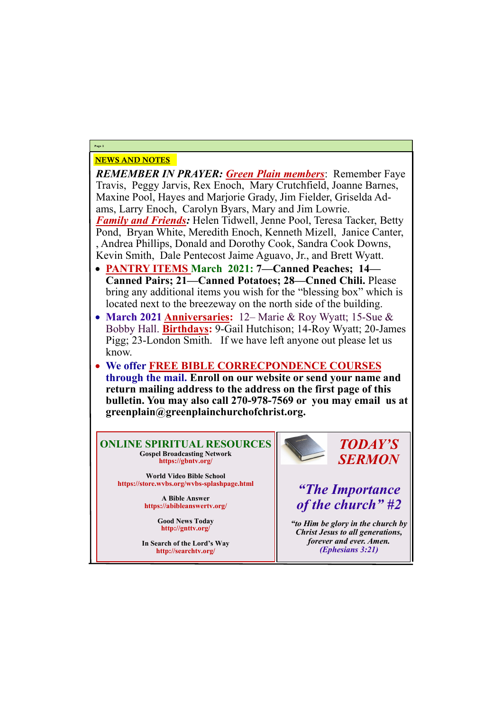## NEWS AND NOTES

*REMEMBER IN PRAYER: Green Plain members*: Remember Faye Travis, Peggy Jarvis, Rex Enoch, Mary Crutchfield, Joanne Barnes, Maxine Pool, Hayes and Marjorie Grady, Jim Fielder, Griselda Adams, Larry Enoch, Carolyn Byars, Mary and Jim Lowrie. *Family and Friends:* Helen Tidwell, Jenne Pool, Teresa Tacker, Betty Pond, Bryan White, Meredith Enoch, Kenneth Mizell, Janice Canter, , Andrea Phillips, Donald and Dorothy Cook, Sandra Cook Downs, Kevin Smith, Dale Pentecost Jaime Aguavo, Jr., and Brett Wyatt.

- **PANTRY ITEMS March 2021: 7—Canned Peaches; 14— Canned Pairs; 21—Canned Potatoes; 28—Cnned Chili.** Please bring any additional items you wish for the "blessing box" which is located next to the breezeway on the north side of the building.
- **March 2021 Anniversaries:** 12– Marie & Roy Wyatt; 15-Sue & Bobby Hall. **Birthdays:** 9-Gail Hutchison; 14-Roy Wyatt; 20-James Pigg; 23-London Smith. If we have left anyone out please let us know.
- **We offer FREE BIBLE CORRECPONDENCE COURSES through the mail. Enroll on our website or send your name and return mailing address to the address on the first page of this bulletin. You may also call 270-978-7569 or you may email us at greenplain@greenplainchurchofchrist.org.**

**Page 2**

**ONLINE SPIRITUAL RESOURCES Gospel Broadcasting Network https://gbntv.org/**

**World Video Bible School https://store.wvbs.org/wvbs-splashpage.html**

> **A Bible Answer https://abibleanswertv.org/**

> > **Good News Today http://gnttv.org/**



**In Search of the Lord's Way http://searchtv.org/**

*TODAY'S SERMON*

*"The Importance of the church" #2*

*"to Him be glory in the church by Christ Jesus to all generations,* 

*forever and ever. Amen. (Ephesians 3:21)*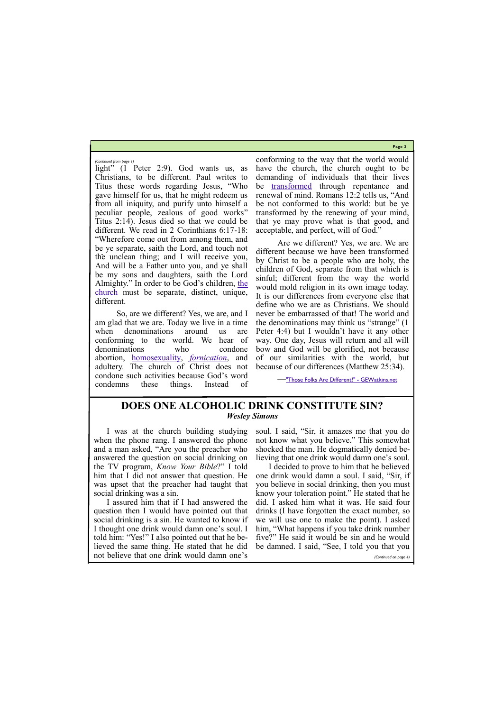**Page 3**

light" (1 Peter 2:9). God wants us, as Christians, to be different. Paul writes to Titus these words regarding Jesus, "Who gave himself for us, that he might redeem us from all iniquity, and purify unto himself a peculiar people, zealous of good works" Titus 2:14). Jesus died so that we could be different. We read in 2 Corinthians 6:17-18: "Wherefore come out from among them, and be ye separate, saith the Lord, and touch not the unclean thing; and I will receive you, And will be a Father unto you, and ye shall be my sons and daughters, saith the Lord Almighty." In order to be God's children, [the](https://gewatkins.net/the-church/)  [church](https://gewatkins.net/the-church/) must be separate, distinct, unique, different.

So, are we different? Yes, we are, and I am glad that we are. Today we live in a time when denominations around us are conforming to the world. We hear of denominations who condone abortion, [homosexuality,](https://gewatkins.net/should-christians-oppose-homosexual-marriage/) *[fornication](https://gewatkins.net/the-sin-of-fornication/)*, and adultery. The church of Christ does not condone such activities because God's word condemns these things. Instead of

conforming to the way that the world would have the church, the church ought to be demanding of individuals that their lives be [transformed](https://gewatkins.net/a-look-at-the-word-transformed/) through repentance and renewal of mind. Romans 12:2 tells us, "And be not conformed to this world: but be ye transformed by the renewing of your mind, that ye may prove what is that good, and acceptable, and perfect, will of God."

Are we different? Yes, we are. We are different because we have been transformed by Christ to be a people who are holy, the children of God, separate from that which is sinful; different from the way the world would mold religion in its own image today. It is our differences from everyone else that define who we are as Christians. We should never be embarrassed of that! The world and the denominations may think us "strange" (1 Peter 4:4) but I wouldn't have it any other way. One day, Jesus will return and all will bow and God will be glorified, not because of our similarities with the world, but because of our differences (Matthew 25:34).

—["Those Folks Are Different!" -](https://gewatkins.net/those-folks-are-different/) GEWatkins.net

*(Continued from page 1)*

I was at the church building studying when the phone rang. I answered the phone and a man asked, "Are you the preacher who answered the question on social drinking on the TV program, *Know Your Bible*?" I told him that I did not answer that question. He was upset that the preacher had taught that social drinking was a sin.

I assured him that if I had answered the question then I would have pointed out that social drinking is a sin. He wanted to know if I thought one drink would damn one's soul. I soul. I said, "Sir, it amazes me that you do not know what you believe." This somewhat shocked the man. He dogmatically denied believing that one drink would damn one's soul.

told him: "Yes!" I also pointed out that he be-five?" He said it would be sin and he would lieved the same thing. He stated that he did be damned. I said, "See, I told you that you not believe that one drink would damn one's *(Continued on page 4)*

I decided to prove to him that he believed one drink would damn a soul. I said, "Sir, if you believe in social drinking, then you must know your toleration point." He stated that he did. I asked him what it was. He said four drinks (I have forgotten the exact number, so we will use one to make the point). I asked him, "What happens if you take drink number

## **DOES ONE ALCOHOLIC DRINK CONSTITUTE SIN?** *Wesley Simons*